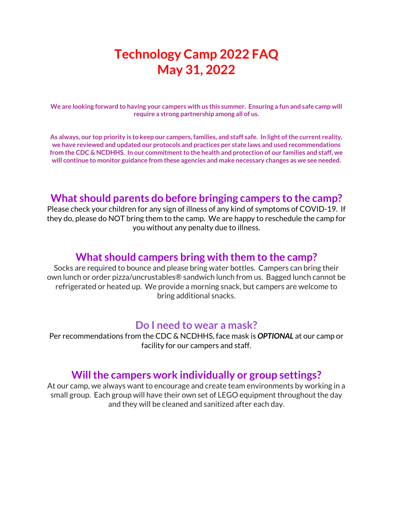# **Technology Camp 2022 FAQ May 31, 2022**

**We are looking forward to having your campers with us this summer. Ensuring a fun and safe camp will require a strong partnership among all of us.** 

**As always, our top priority is to keep our campers, families, and staff safe. In light of the current reality, we have reviewed and updated our protocols and practices per state laws and used recommendations from the CDC & NCDHHS. In our commitment to the health and protection of our families and staff, we will continue to monitor guidance from these agencies and make necessary changes as we see needed.** 

### **What should parents do before bringing campers to the camp?**

Please check your children for any sign of illness of any kind of symptoms of COVID-19. If they do, please do NOT bring them to the camp. We are happy to reschedule the camp for you without any penalty due to illness.

### **What should campers bring with them to the camp?**

Socks are required to bounce and please bring water bottles. Campers can bring their own lunch or order pizza/uncrustables® sandwich lunch from us. Bagged lunch cannot be refrigerated or heated up. We provide a morning snack, but campers are welcome to bring additional snacks.

#### **Do I need to wear a mask?**

Per recommendations from the CDC & NCDHHS, face mask is *OPTIONAL* at our camp or facility for our campers and staff.

#### **Will the campers work individually or group settings?**

At our camp, we always want to encourage and create team environments by working in a small group. Each group will have their own set of LEGO equipment throughout the day and they will be cleaned and sanitized after each day.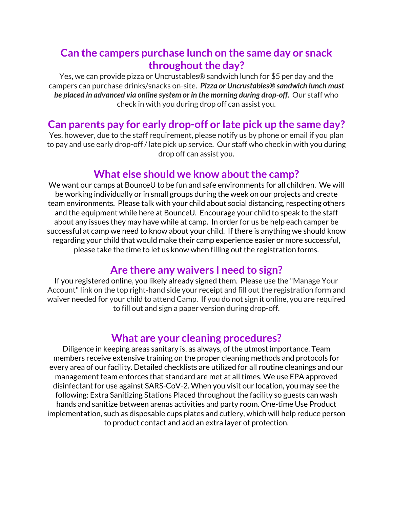### **Can the campers purchase lunch on the same day or snack throughout the day?**

Yes, we can provide pizza or Uncrustables® sandwich lunch for \$5 per day and the campers can purchase drinks/snacks on-site. *Pizza or Uncrustables® sandwich lunch must be placed in advanced via online system or in the morning during drop-off.* Our staff who check in with you during drop off can assist you.

### **Can parents pay for early drop-off or late pick up the same day?**

Yes, however, due to the staff requirement, please notify us by phone or email if you plan to pay and use early drop-off / late pick up service. Our staff who check in with you during drop off can assist you.

### **What else should we know about the camp?**

We want our camps at BounceU to be fun and safe environments for all children. We will be working individually or in small groups during the week on our projects and create team environments. Please talk with your child about social distancing, respecting others and the equipment while here at BounceU. Encourage your child to speak to the staff about any issues they may have while at camp. In order for us be help each camper be successful at camp we need to know about your child. If there is anything we should know regarding your child that would make their camp experience easier or more successful, please take the time to let us know when filling out the registration forms.

## **Are there any waivers I need to sign?**

If you registered online, you likely already signed them. Please use the "Manage Your Account" link on the top right-hand side your receipt and fill out the registration form and waiver needed for your child to attend Camp. If you do not sign it online, you are required to fill out and sign a paper version during drop-off.

### **What are your cleaning procedures?**

Diligence in keeping areas sanitary is, as always, of the utmost importance. Team members receive extensive training on the proper cleaning methods and protocols for every area of our facility. Detailed checklists are utilized for all routine cleanings and our management team enforces that standard are met at all times. We use EPA approved disinfectant for use against SARS-CoV-2. When you visit our location, you may see the following: Extra Sanitizing Stations Placed throughout the facility so guests can wash hands and sanitize between arenas activities and party room. One-time Use Product implementation, such as disposable cups plates and cutlery, which will help reduce person to product contact and add an extra layer of protection.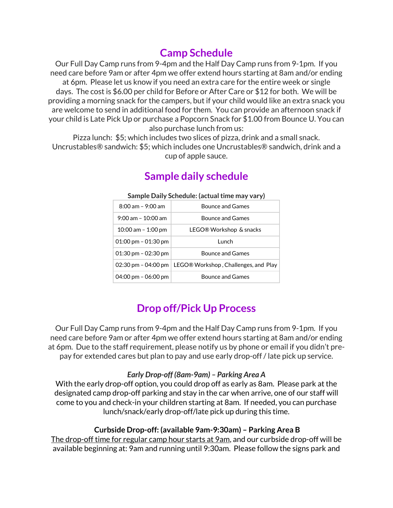## **Camp Schedule**

Our Full Day Camp runs from 9-4pm and the Half Day Camp runs from 9-1pm. If you need care before 9am or after 4pm we offer extend hours starting at 8am and/or ending at 6pm. Please let us know if you need an extra care for the entire week or single days. The cost is \$6.00 per child for Before or After Care or \$12 for both. We will be providing a morning snack for the campers, but if your child would like an extra snack you are welcome to send in additional food for them. You can provide an afternoon snack if your child is Late Pick Up or purchase a Popcorn Snack for \$1.00 from Bounce U. You can also purchase lunch from us:

Pizza lunch: \$5; which includes two slices of pizza, drink and a small snack. Uncrustables® sandwich: \$5; which includes one Uncrustables® sandwich, drink and a cup of apple sauce.

| Sample Daily Schedule: (actual time may vary) |                                                            |
|-----------------------------------------------|------------------------------------------------------------|
| $8:00$ am - $9:00$ am                         | <b>Bounce and Games</b>                                    |
| $9:00$ am - 10:00 am                          | <b>Bounce and Games</b>                                    |
| 10:00 am $-$ 1:00 pm                          | LEGO® Workshop & snacks                                    |
| 01:00 pm $-$ 01:30 pm                         | Lunch                                                      |
| 01:30 pm $-$ 02:30 pm                         | <b>Bounce and Games</b>                                    |
|                                               | 02:30 pm - 04:00 pm   LEGO® Workshop, Challenges, and Play |
| 04:00 pm - 06:00 pm                           | <b>Bounce and Games</b>                                    |

## **Sample daily schedule**

## **Drop off/Pick Up Process**

Our Full Day Camp runs from 9-4pm and the Half Day Camp runs from 9-1pm. If you need care before 9am or after 4pm we offer extend hours starting at 8am and/or ending at 6pm. Due to the staff requirement, please notify us by phone or email if you didn't prepay for extended cares but plan to pay and use early drop-off / late pick up service.

#### *Early Drop-off (8am-9am) – Parking Area A*

With the early drop-off option, you could drop off as early as 8am. Please park at the designated camp drop-off parking and stay in the car when arrive, one of our staff will come to you and check-in your children starting at 8am. If needed, you can purchase lunch/snack/early drop-off/late pick up during this time.

#### **Curbside Drop-off: (available 9am-9:30am) – Parking Area B**

The drop-off time for regular camp hour starts at 9am, and our curbside drop-off will be available beginning at: 9am and running until 9:30am. Please follow the signs park and